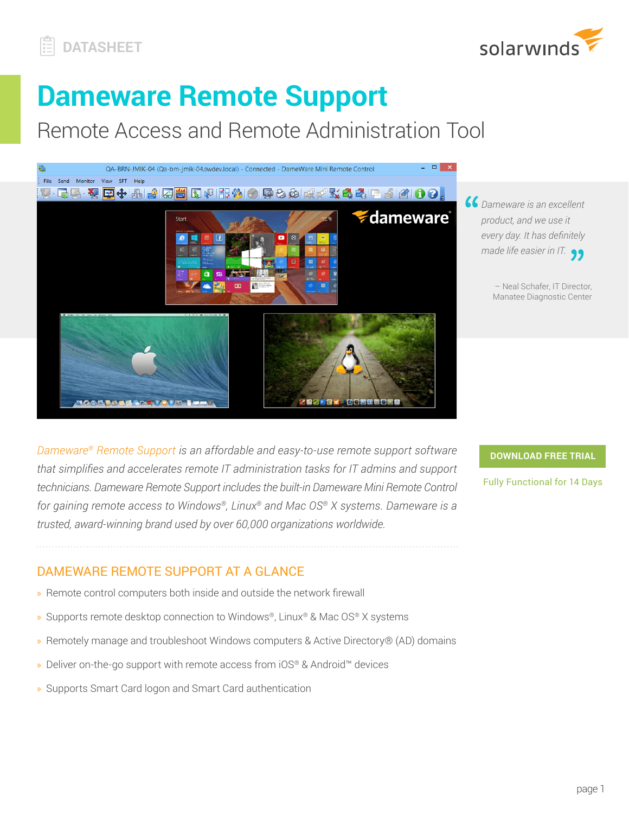



# **Dameware Remote Support**

Remote Access and Remote Administration Tool



*Dameware is an excellent product, and we use it every day. It has definitely made life easier in IT.*

> – Neal Schafer, IT Director, Manatee Diagnostic Center

*[Dameware® Remote Support](http://www.dameware.com/remote-support-software) is an affordable and easy-to-use remote support software that simplifies and accelerates remote IT administration tasks for IT admins and support technicians. Dameware Remote Support includes the built-in Dameware Mini Remote Control for gaining remote access to Windows®, Linux® and Mac OS® X systems. Dameware is a trusted, award-winning brand used by over 60,000 organizations worldwide.* 

**[DOWNLOAD FREE TRIAL](http://www.solarwinds.com/remote-support-software/registration?program=17823&campaign=70150000000RQlq&CMP=OTC-WP-SWI-SW_WW_X_NP_X_LD_EN_TOOGEN_SW-DRS-20170701_DTASHT_X_X-X)**

Fully Functional for 14 Days

# DAMEWARE REMOTE SUPPORT AT A GLANCE

- » Remote control computers both inside and outside the network firewall
- » Supports remote desktop connection to Windows®, Linux® & Mac OS® X systems
- » Remotely manage and troubleshoot Windows computers & Active Directory® (AD) domains
- » Deliver on-the-go support with remote access from iOS® & Android™ devices
- » Supports Smart Card logon and Smart Card authentication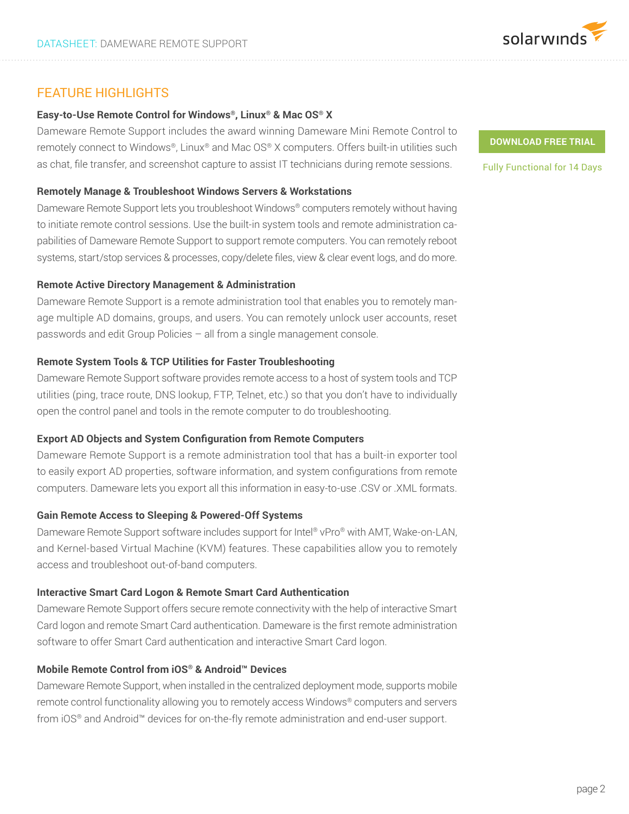

# FEATURE HIGHLIGHTS

# **Easy-to-Use Remote Control for Windows®, Linux® & Mac OS® X**

Dameware Remote Support includes the award winning Dameware Mini Remote Control to remotely connect to Windows®, Linux® and Mac OS® X computers. Offers built-in utilities such as chat, file transfer, and screenshot capture to assist IT technicians during remote sessions.

#### **Remotely Manage & Troubleshoot Windows Servers & Workstations**

Dameware Remote Support lets you troubleshoot Windows® computers remotely without having to initiate remote control sessions. Use the built-in system tools and remote administration capabilities of Dameware Remote Support to support remote computers. You can remotely reboot systems, start/stop services & processes, copy/delete files, view & clear event logs, and do more.

## **Remote Active Directory Management & Administration**

Dameware Remote Support is a remote administration tool that enables you to remotely manage multiple AD domains, groups, and users. You can remotely unlock user accounts, reset passwords and edit Group Policies – all from a single management console.

## **Remote System Tools & TCP Utilities for Faster Troubleshooting**

Dameware Remote Support software provides remote access to a host of system tools and TCP utilities (ping, trace route, DNS lookup, FTP, Telnet, etc.) so that you don't have to individually open the control panel and tools in the remote computer to do troubleshooting.

## **Export AD Objects and System Configuration from Remote Computers**

Dameware Remote Support is a remote administration tool that has a built-in exporter tool to easily export AD properties, software information, and system configurations from remote computers. Dameware lets you export all this information in easy-to-use .CSV or .XML formats.

## **Gain Remote Access to Sleeping & Powered-Off Systems**

Dameware Remote Support software includes support for Intel® vPro® with AMT, Wake-on-LAN, and Kernel-based Virtual Machine (KVM) features. These capabilities allow you to remotely access and troubleshoot out-of-band computers.

## **Interactive Smart Card Logon & Remote Smart Card Authentication**

Dameware Remote Support offers secure remote connectivity with the help of interactive Smart Card logon and remote Smart Card authentication. Dameware is the first remote administration software to offer Smart Card authentication and interactive Smart Card logon.

## **Mobile Remote Control from iOS® & Android™ Devices**

Dameware Remote Support, when installed in the centralized deployment mode, supports mobile remote control functionality allowing you to remotely access Windows® computers and servers from iOS® and Android™ devices for on-the-fly remote administration and end-user support.

#### **[DOWNLOAD FREE TRIAL](http://www.solarwinds.com/remote-support-software/registration?program=17823&campaign=70150000000RQlq&CMP=OTC-WP-SWI-SW_WW_X_NP_X_LD_EN_TOOGEN_SW-DRS-20170701_DTASHT_X_X-X)**

Fully Functional for 14 Days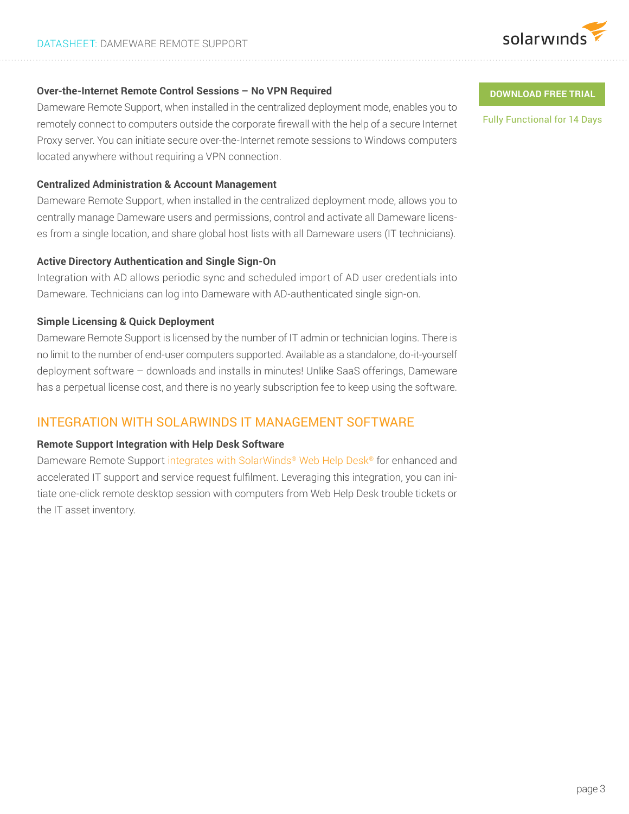

# **Over-the-Internet Remote Control Sessions – No VPN Required**

Dameware Remote Support, when installed in the centralized deployment mode, enables you to remotely connect to computers outside the corporate firewall with the help of a secure Internet Proxy server. You can initiate secure over-the-Internet remote sessions to Windows computers located anywhere without requiring a VPN connection.

#### **Centralized Administration & Account Management**

Dameware Remote Support, when installed in the centralized deployment mode, allows you to centrally manage Dameware users and permissions, control and activate all Dameware licenses from a single location, and share global host lists with all Dameware users (IT technicians).

#### **Active Directory Authentication and Single Sign-On**

Integration with AD allows periodic sync and scheduled import of AD user credentials into Dameware. Technicians can log into Dameware with AD-authenticated single sign-on.

# **Simple Licensing & Quick Deployment**

Dameware Remote Support is licensed by the number of IT admin or technician logins. There is no limit to the number of end-user computers supported. Available as a standalone, do-it-yourself deployment software – downloads and installs in minutes! Unlike SaaS offerings, Dameware has a perpetual license cost, and there is no yearly subscription fee to keep using the software.

# INTEGRATION WITH SOLARWINDS IT MANAGEMENT SOFTWARE

#### **Remote Support Integration with Help Desk Software**

Dameware Remote Support [integrates with SolarWinds® Web Help Desk®](http://www.dameware.com/products/help-desk-essentials.aspx) for enhanced and accelerated IT support and service request fulfilment. Leveraging this integration, you can initiate one-click remote desktop session with computers from Web Help Desk trouble tickets or the IT asset inventory.

#### **[DOWNLOAD FREE TRIAL](http://www.solarwinds.com/remote-support-software/registration?program=17823&campaign=70150000000RQlq&CMP=OTC-WP-SWI-SW_WW_X_NP_X_LD_EN_TOOGEN_SW-DRS-20170701_DTASHT_X_X-X)**

Fully Functional for 14 Days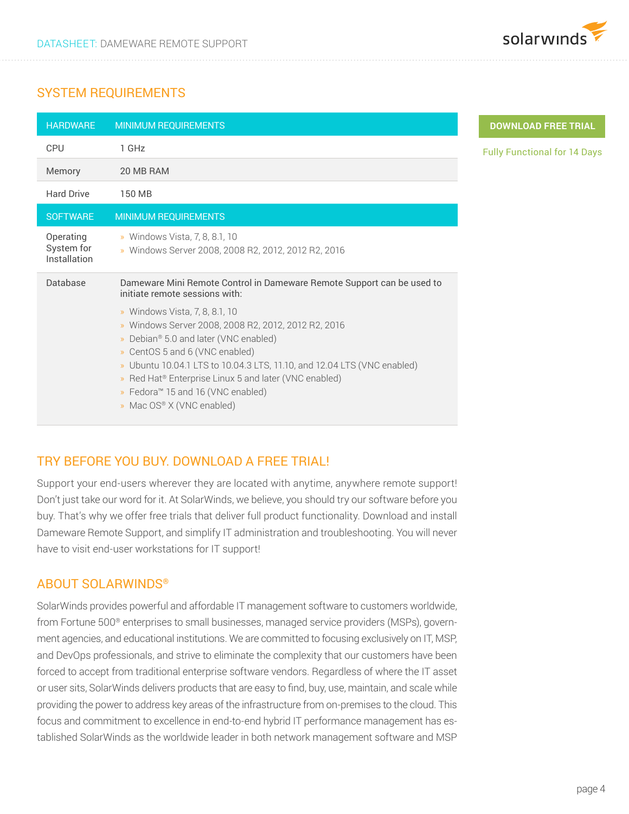

# SYSTEM REQUIREMENTS

| <b>HARDWARE</b>                         | <b>MINIMUM REQUIREMENTS</b>                                                                                                                                                                                                                                                                                                                                                                    |
|-----------------------------------------|------------------------------------------------------------------------------------------------------------------------------------------------------------------------------------------------------------------------------------------------------------------------------------------------------------------------------------------------------------------------------------------------|
| <b>CPU</b>                              | 1 GHz                                                                                                                                                                                                                                                                                                                                                                                          |
| Memory                                  | 20 MB RAM                                                                                                                                                                                                                                                                                                                                                                                      |
| <b>Hard Drive</b>                       | 150 MB                                                                                                                                                                                                                                                                                                                                                                                         |
| <b>SOFTWARE</b>                         | <b>MINIMUM REQUIREMENTS</b>                                                                                                                                                                                                                                                                                                                                                                    |
| Operating<br>System for<br>Installation | » Windows Vista, 7, 8, 8.1, 10<br>» Windows Server 2008, 2008 R2, 2012, 2012 R2, 2016                                                                                                                                                                                                                                                                                                          |
| Database                                | Dameware Mini Remote Control in Dameware Remote Support can be used to<br>initiate remote sessions with:                                                                                                                                                                                                                                                                                       |
|                                         | » Windows Vista, 7, 8, 8.1, 10<br>» Windows Server 2008, 2008 R2, 2012, 2012 R2, 2016<br>» Debian® 5.0 and later (VNC enabled)<br>» CentOS 5 and 6 (VNC enabled)<br>» Ubuntu 10.04.1 LTS to 10.04.3 LTS, 11.10, and 12.04 LTS (VNC enabled)<br>» Red Hat <sup>®</sup> Enterprise Linux 5 and later (VNC enabled)<br>» Fedora <sup>™</sup> 15 and 16 (VNC enabled)<br>» Mac OS® X (VNC enabled) |

# TRY BEFORE YOU BUY. DOWNLOAD A FREE TRIAL!

Support your end-users wherever they are located with anytime, anywhere remote support! Don't just take our word for it. At SolarWinds, we believe, you should try our software before you buy. That's why we offer free trials that deliver full product functionality. Download and install Dameware Remote Support, and simplify IT administration and troubleshooting. You will never have to visit end-user workstations for IT support!

# ABOUT SOLARWINDS®

SolarWinds provides powerful and affordable IT management software to customers worldwide, from Fortune 500® enterprises to small businesses, managed service providers (MSPs), government agencies, and educational institutions. We are committed to focusing exclusively on IT, MSP, and DevOps professionals, and strive to eliminate the complexity that our customers have been forced to accept from traditional enterprise software vendors. Regardless of where the IT asset or user sits, SolarWinds delivers products that are easy to find, buy, use, maintain, and scale while providing the power to address key areas of the infrastructure from on-premises to the cloud. This focus and commitment to excellence in end-to-end hybrid IT performance management has established SolarWinds as the worldwide leader in both network management software and MSP

# **[DOWNLOAD FREE TRIAL](http://www.solarwinds.com/remote-support-software/registration?program=17823&campaign=70150000000RQlq&CMP=OTC-WP-SWI-SW_WW_X_NP_X_LD_EN_TOOGEN_SW-DRS-20170701_DTASHT_X_X-X)**

Functional for 14 Days